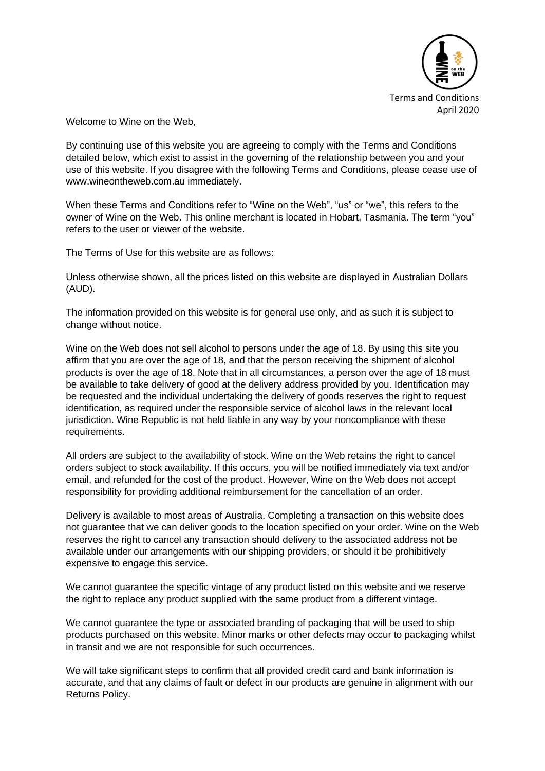

Welcome to Wine on the Web,

By continuing use of this website you are agreeing to comply with the Terms and Conditions detailed below, which exist to assist in the governing of the relationship between you and your use of this website. If you disagree with the following Terms and Conditions, please cease use of www.wineontheweb.com.au immediately.

When these Terms and Conditions refer to "Wine on the Web", "us" or "we", this refers to the owner of Wine on the Web. This online merchant is located in Hobart, Tasmania. The term "you" refers to the user or viewer of the website.

The Terms of Use for this website are as follows:

Unless otherwise shown, all the prices listed on this website are displayed in Australian Dollars (AUD).

The information provided on this website is for general use only, and as such it is subject to change without notice.

Wine on the Web does not sell alcohol to persons under the age of 18. By using this site you affirm that you are over the age of 18, and that the person receiving the shipment of alcohol products is over the age of 18. Note that in all circumstances, a person over the age of 18 must be available to take delivery of good at the delivery address provided by you. Identification may be requested and the individual undertaking the delivery of goods reserves the right to request identification, as required under the responsible service of alcohol laws in the relevant local jurisdiction. Wine Republic is not held liable in any way by your noncompliance with these requirements.

All orders are subject to the availability of stock. Wine on the Web retains the right to cancel orders subject to stock availability. If this occurs, you will be notified immediately via text and/or email, and refunded for the cost of the product. However, Wine on the Web does not accept responsibility for providing additional reimbursement for the cancellation of an order.

Delivery is available to most areas of Australia. Completing a transaction on this website does not guarantee that we can deliver goods to the location specified on your order. Wine on the Web reserves the right to cancel any transaction should delivery to the associated address not be available under our arrangements with our shipping providers, or should it be prohibitively expensive to engage this service.

We cannot guarantee the specific vintage of any product listed on this website and we reserve the right to replace any product supplied with the same product from a different vintage.

We cannot guarantee the type or associated branding of packaging that will be used to ship products purchased on this website. Minor marks or other defects may occur to packaging whilst in transit and we are not responsible for such occurrences.

We will take significant steps to confirm that all provided credit card and bank information is accurate, and that any claims of fault or defect in our products are genuine in alignment with our Returns Policy.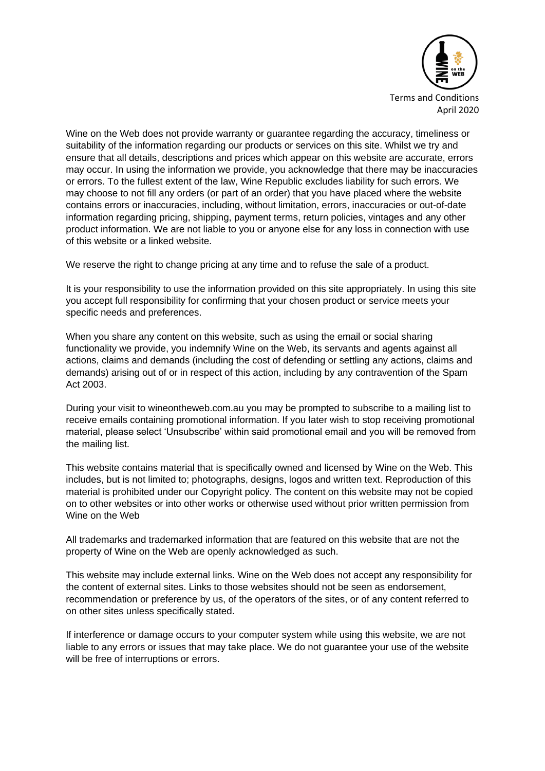

Wine on the Web does not provide warranty or guarantee regarding the accuracy, timeliness or suitability of the information regarding our products or services on this site. Whilst we try and ensure that all details, descriptions and prices which appear on this website are accurate, errors may occur. In using the information we provide, you acknowledge that there may be inaccuracies or errors. To the fullest extent of the law, Wine Republic excludes liability for such errors. We may choose to not fill any orders (or part of an order) that you have placed where the website contains errors or inaccuracies, including, without limitation, errors, inaccuracies or out-of-date information regarding pricing, shipping, payment terms, return policies, vintages and any other product information. We are not liable to you or anyone else for any loss in connection with use of this website or a linked website.

We reserve the right to change pricing at any time and to refuse the sale of a product.

It is your responsibility to use the information provided on this site appropriately. In using this site you accept full responsibility for confirming that your chosen product or service meets your specific needs and preferences.

When you share any content on this website, such as using the email or social sharing functionality we provide, you indemnify Wine on the Web, its servants and agents against all actions, claims and demands (including the cost of defending or settling any actions, claims and demands) arising out of or in respect of this action, including by any contravention of the Spam Act 2003.

During your visit to wineontheweb.com.au you may be prompted to subscribe to a mailing list to receive emails containing promotional information. If you later wish to stop receiving promotional material, please select 'Unsubscribe' within said promotional email and you will be removed from the mailing list.

This website contains material that is specifically owned and licensed by Wine on the Web. This includes, but is not limited to; photographs, designs, logos and written text. Reproduction of this material is prohibited under our Copyright policy. The content on this website may not be copied on to other websites or into other works or otherwise used without prior written permission from Wine on the Web

All trademarks and trademarked information that are featured on this website that are not the property of Wine on the Web are openly acknowledged as such.

This website may include external links. Wine on the Web does not accept any responsibility for the content of external sites. Links to those websites should not be seen as endorsement, recommendation or preference by us, of the operators of the sites, or of any content referred to on other sites unless specifically stated.

If interference or damage occurs to your computer system while using this website, we are not liable to any errors or issues that may take place. We do not guarantee your use of the website will be free of interruptions or errors.